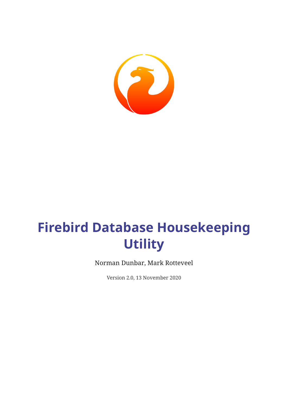

# **Firebird Database Housekeeping Utility**

Norman Dunbar, Mark Rotteveel

Version 2.0, 13 November 2020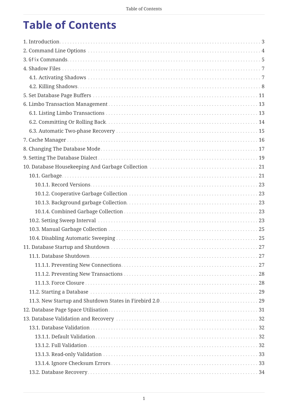# **Table of Contents**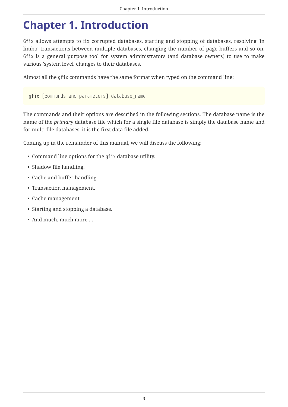## <span id="page-3-0"></span>**Chapter 1. Introduction**

Gfix allows attempts to fix corrupted databases, starting and stopping of databases, resolving 'in limbo' transactions between multiple databases, changing the number of page buffers and so on. Gfix is a general purpose tool for system administrators (and database owners) to use to make various 'system level' changes to their databases.

Almost all the gfix commands have the same format when typed on the command line:

gfix [*commands and parameters*] *database\_name*

The commands and their options are described in the following sections. The database name is the name of the *primary* database file which for a single file database is simply the database name and for multi-file databases, it is the first data file added.

Coming up in the remainder of this manual, we will discuss the following:

- Command line options for the gfix database utility.
- Shadow file handling.
- Cache and buffer handling.
- Transaction management.
- Cache management.
- Starting and stopping a database.
- And much, much more …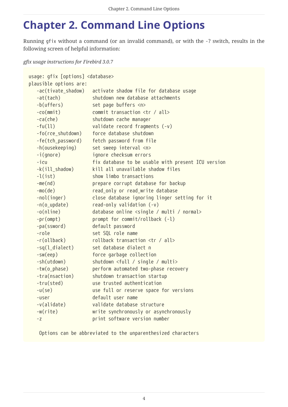# <span id="page-4-0"></span>**Chapter 2. Command Line Options**

Running gfix without a command (or an invalid command), or with the -? switch, results in the following screen of helpful information:

*gfix usage instructions for Firebird 3.0.7*

```
usage: gfix [options] <database>
plausible options are:
    -ac(tivate_shadow) activate shadow file for database usage
    -at(tach) shutdown new database attachments
    -b(uffers) set page buffers <n>
    -co(mmit) commit transaction <tr / all>
    -ca(che) shutdown cache manager
    -fu(ll) validate record fragments (-v)
    -fo(rce_shutdown) force database shutdown
    -fe(tch_password) fetch password from file
    -h(ousekeeping) set sweep interval <n>
    -i(gnore) ignore checksum errors
    -icu fix database to be usable with present ICU version
    -k(ill_shadow) kill all unavailable shadow files
    -l(ist) show limbo transactions
    -me(nd) prepare corrupt database for backup
    -mo(de) read_only or read_write database
    -nol(inger) close database ignoring linger setting for it
    -n(o_update) read-only validation (-v)
    -o(nline) database online <single / multi / normal>
    -pr(ompt) prompt for commit/rollback (-l)
    -pa(ssword) default password
    -role set SQL role name
    -r(ollback) rollback transaction <tr / all>
  -sq(l_dialect) set database dialect n
    -sw(eep) force garbage collection
    -sh(utdown) shutdown <full / single / multi>
    -tw(o_phase) perform automated two-phase recovery
    -tra(nsaction) shutdown transaction startup
    -tru(sted) use trusted authentication
    -u(se) use full or reserve space for versions
    -user default user name
    -v(alidate) validate database structure
    -w(rite) write synchronously or asynchronously
    -z print software version number
```
Options can be abbreviated to the unparenthesized characters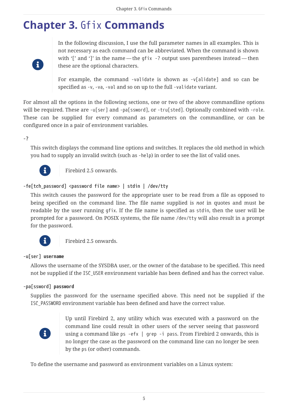## <span id="page-5-0"></span>**Chapter 3.** Gfix **Commands**



In the following discussion, I use the full parameter names in all examples. This is not necessary as each command can be abbreviated. When the command is shown with '[' and ']' in the name — the gfix -? output uses parentheses instead — then these are the optional characters.

For example, the command -validate is shown as -v[alidate] and so can be specified as -v, -va, -val and so on up to the full -validate variant.

For almost all the options in the following sections, one or two of the above commandline options will be required. These are -u[ser] and -pa[ssword], or -tru[sted]. Optionally combined with -role. These can be supplied for every command as parameters on the commandline, or can be configured once in a pair of environment variables.

#### **-?**

This switch displays the command line options and switches. It replaces the old method in which you had to supply an invalid switch (such as -help) in order to see the list of valid ones.



Firebird 2.5 onwards.

#### **-fe[tch\_password] <password file name> | stdin | /dev/tty**

This switch causes the password for the appropriate user to be read from a file as opposed to being specified on the command line. The file name supplied is *not* in quotes and must be readable by the user running gfix. If the file name is specified as stdin, then the user will be prompted for a password. On POSIX systems, the file name /dev/tty will also result in a prompt for the password.



Firebird 2.5 onwards.

#### **-u[ser]** *username*

Allows the username of the SYSDBA user, or the owner of the database to be specified. This need not be supplied if the ISC\_USER environment variable has been defined and has the correct value.

#### **-pa[ssword]** *password*

Supplies the password for the username specified above. This need not be supplied if the ISC\_PASSWORD environment variable has been defined and have the correct value.



Up until Firebird 2, any utility which was executed with a password on the command line could result in other users of the server seeing that password using a command like ps -efx | grep -i pass. From Firebird 2 onwards, this is no longer the case as the password on the command line can no longer be seen by the ps (or other) commands.

To define the username and password as environment variables on a Linux system: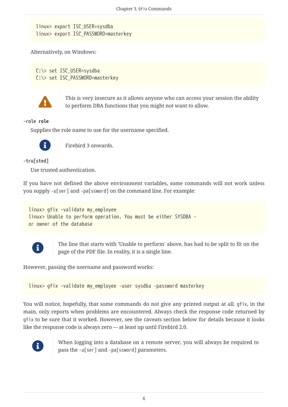```
linux> export ISC_USER=sysdba
linux> export ISC_PASSWORD=masterkey
```
Alternatively, on Windows:

C:\> set ISC\_USER=sysdba C:\> set ISC\_PASSWORD=masterkey



 This is very insecure as it allows anyone who can access your session the ability to perform DBA functions that you might not want to allow.

#### **-role** *role*

Supplies the role name to use for the username specified.



Firebird 3 onwards.

#### **-tru[sted]**

Use trusted authentication.

If you have not defined the above environment variables, some commands will not work unless you supply -u[ser] and -pa[ssword] on the command line. For example:

```
linux> gfix -validate my_employee
linux> Unable to perform operation. You must be either SYSDBA -
or owner of the database
```


The line that starts with 'Unable to perform' above, has had to be split to fit on the page of the PDF file. In reality, it is a single line.

However, passing the username and password works:

linux> gfix -validate my\_employee -user sysdba -password masterkey

You will notice, hopefully, that some commands do not give any printed output at all. gfix, in the main, only reports when problems are encountered. Always check the response code returned by gfix to be sure that it worked. However, see the caveats section below for details because it looks like the response code is always zero — at least up until Firebird 2.0.



When logging into a database on a remote server, you will always be required to pass the -u[ser] and -pa[ssword] parameters.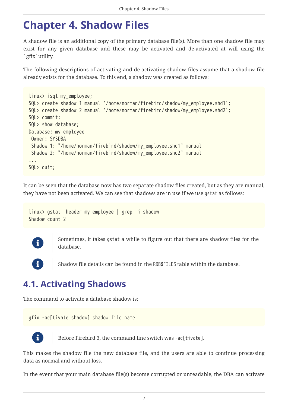## <span id="page-7-0"></span>**Chapter 4. Shadow Files**

A shadow file is an additional copy of the primary database file(s). More than one shadow file may exist for any given database and these may be activated and de-activated at will using the `gfix`utility.

The following descriptions of activating and de-activating shadow files assume that a shadow file already exists for the database. To this end, a shadow was created as follows:

```
linux> isql my_employee;
SQL> create shadow 1 manual '/home/norman/firebird/shadow/my_employee.shd1';
SQL> create shadow 2 manual '/home/norman/firebird/shadow/my_employee.shd2';
SQL> commit;
SQL> show database;
Database: my_employee
 Owner: SYSDBA
 Shadow 1: "/home/norman/firebird/shadow/my_employee.shd1" manual
 Shadow 2: "/home/norman/firebird/shadow/my_employee.shd2" manual
...
SQL> quit;
```
It can be seen that the database now has two separate shadow files created, but as they are manual, they have not been activated. We can see that shadows are in use if we use gstat as follows:

```
linux> gstat -header my_employee | grep -i shadow
Shadow count 2
```


Sometimes, it takes gstat a while to figure out that there are shadow files for the database.



Shadow file details can be found in the RDB\$FILES table within the database.

## <span id="page-7-1"></span>**4.1. Activating Shadows**

The command to activate a database shadow is:

gfix -ac[tivate\_shadow] *shadow\_file\_name*



Before Firebird 3, the command line switch was -ac[tivate].

This makes the shadow file the new database file, and the users are able to continue processing data as normal and without loss.

In the event that your main database file(s) become corrupted or unreadable, the DBA can activate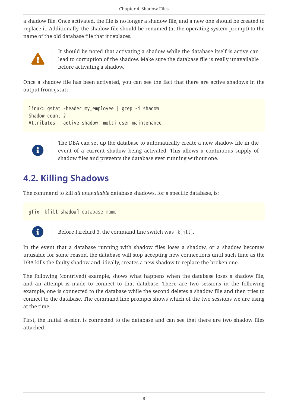a shadow file. Once activated, the file is no longer a shadow file, and a new one should be created to replace it. Additionally, the shadow file should be renamed (at the operating system prompt) to the name of the old database file that it replaces.



It should be noted that activating a shadow while the database itself is active can lead to corruption of the shadow. Make sure the database file is really unavailable before activating a shadow.

Once a shadow file has been activated, you can see the fact that there are active shadows in the output from gstat:

```
linux> gstat -header my_employee | grep -i shadow
Shadow count 2
Attributes active shadow, multi-user maintenance
```


The DBA can set up the database to automatically create a new shadow file in the event of a current shadow being activated. This allows a continuous supply of shadow files and prevents the database ever running without one.

## <span id="page-8-0"></span>**4.2. Killing Shadows**

The command to kill *all unavailable* database shadows, for a specific database, is:

gfix -k[ill\_shadow] *database\_name*



Before Firebird 3, the command line switch was -k[ill].

In the event that a database running with shadow files loses a shadow, or a shadow becomes unusable for some reason, the database will stop accepting new connections until such time as the DBA kills the faulty shadow and, ideally, creates a new shadow to replace the broken one.

The following (contrived) example, shows what happens when the database loses a shadow file, and an attempt is made to connect to that database. There are two sessions in the following example, one is connected to the database while the second deletes a shadow file and then tries to connect to the database. The command line prompts shows which of the two sessions we are using at the time.

First, the initial session is connected to the database and can see that there are two shadow files attached: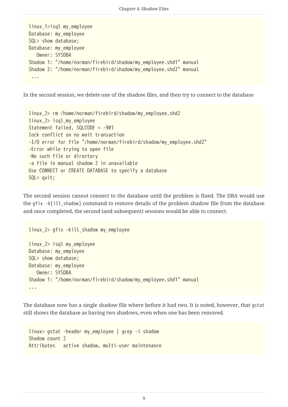```
linux_1>isql my_employee
Database: my_employee
SQL> show database;
Database: my_employee
    Owner: SYSDBA
Shadow 1: "/home/norman/firebird/shadow/my_employee.shd1" manual
Shadow 2: "/home/norman/firebird/shadow/my_employee.shd2" manual
  ...
```
In the second session, we delete one of the shadow files, and then try to connect to the database

```
linux_2> rm /home/norman/firebird/shadow/my_employee.shd2
linux_2> isql_my_employee
Statement failed, SQLCODE = -901
lock conflict on no wait transaction
-I/O error for file "/home/norman/firebird/shadow/my_employee.shd2"
-Error while trying to open file
-No such file or directory
-a file in manual shadow 2 in unavailable
Use CONNECT or CREATE DATABASE to specify a database
SQL> quit;
```
The second session cannot connect to the database until the problem is fixed. The DBA would use the gfix -k[ill\_shadow] command to remove details of the problem shadow file from the database and once completed, the second (and subsequent) sessions would be able to connect.

```
linux_2> gfix -kill_shadow my_employee
linux_2> isql my_employee
Database: my_employee
SQL> show database;
Database: my_employee
    Owner: SYSDBA
Shadow 1: "/home/norman/firebird/shadow/my_employee.shd1" manual
...
```
The database now has a single shadow file where before it had two. It is noted, however, that gstat still shows the database as having two shadows, even when one has been removed.

```
linux> gstat -header my_employee | grep -i shadow
Shadow count 2
Attributes active shadow, multi-user maintenance
```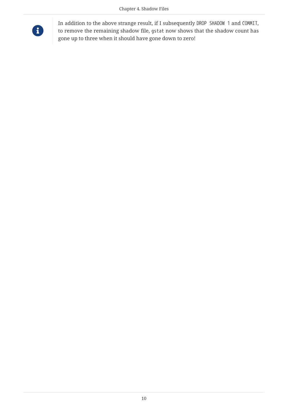

In addition to the above strange result, if I subsequently DROP SHADOW 1 and COMMIT, to remove the remaining shadow file, gstat now shows that the shadow count has gone up to three when it should have gone down to zero!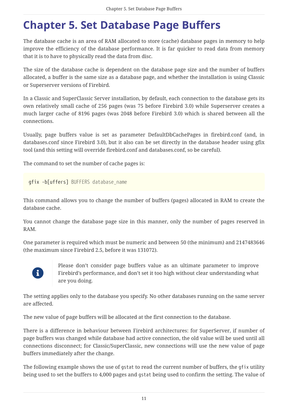# <span id="page-11-0"></span>**Chapter 5. Set Database Page Buffers**

The database cache is an area of RAM allocated to store (cache) database pages in memory to help improve the efficiency of the database performance. It is far quicker to read data from memory that it is to have to physically read the data from disc.

The size of the database cache is dependent on the database page size and the number of buffers allocated, a buffer is the same size as a database page, and whether the installation is using Classic or Superserver versions of Firebird.

In a Classic and SuperClassic Server installation, by default, each connection to the database gets its own relatively small cache of 256 pages (was 75 before Firebird 3.0) while Superserver creates a much larger cache of 8196 pages (was 2048 before Firebird 3.0) which is shared between all the connections.

Usually, page buffers value is set as parameter DefaultDbCachePages in firebird.conf (and, in databases.conf since Firebird 3.0), but it also can be set directly in the database header using gfix tool (and this setting will override firebird.conf and databases.conf, so be careful).

The command to set the number of cache pages is:

gfix -b[uffers] *BUFFERS database\_name*

This command allows you to change the number of buffers (pages) allocated in RAM to create the database cache.

You cannot change the database page size in this manner, only the number of pages reserved in RAM.

One parameter is required which must be numeric and between 50 (the minimum) and 2147483646 (the maximum since Firebird 2.5, before it was 131072).



Please don't consider page buffers value as an ultimate parameter to improve Firebird's performance, and don't set it too high without clear understanding what are you doing.

The setting applies only to the database you specify. No other databases running on the same server are affected.

The new value of page buffers will be allocated at the first connection to the database.

There is a difference in behaviour between Firebird architectures: for SuperServer, if number of page buffers was changed while database had active connection, the old value will be used until all connections disconnect; for Classic/SuperClassic, new connections will use the new value of page buffers immediately after the change.

The following example shows the use of gstat to read the current number of buffers, the gfix utility being used to set the buffers to 4,000 pages and gstat being used to confirm the setting. The value of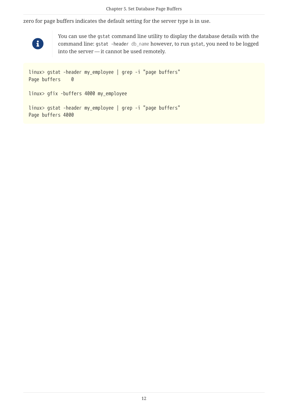zero for page buffers indicates the default setting for the server type is in use.



Page buffers 4000

You can use the gstat command line utility to display the database details with the command line: gstat -header *db\_name* however, to run gstat, you need to be logged into the server — it cannot be used remotely.

```
linux> gstat -header my_employee | grep -i "page buffers"
Page buffers 0
linux> gfix -buffers 4000 my_employee
linux> gstat -header my_employee | grep -i "page buffers"
```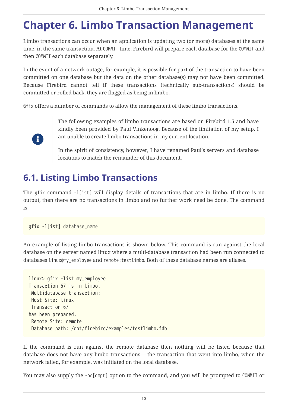# <span id="page-13-0"></span>**Chapter 6. Limbo Transaction Management**

Limbo transactions can occur when an application is updating two (or more) databases at the same time, in the same transaction. At COMMIT time, Firebird will prepare each database for the COMMIT and then COMMIT each database separately.

In the event of a network outage, for example, it is possible for part of the transaction to have been committed on one database but the data on the other database(s) may not have been committed. Because Firebird cannot tell if these transactions (technically sub-transactions) should be committed or rolled back, they are flagged as being in limbo.

Gfix offers a number of commands to allow the management of these limbo transactions.



The following examples of limbo transactions are based on Firebird 1.5 and have kindly been provided by Paul Vinkenoog. Because of the limitation of my setup, I am unable to create limbo transactions in my current location.

In the spirit of consistency, however, I have renamed Paul's servers and database locations to match the remainder of this document.

## <span id="page-13-1"></span>**6.1. Listing Limbo Transactions**

The gfix command -l[ist] will display details of transactions that are in limbo. If there is no output, then there are no transactions in limbo and no further work need be done. The command is:

```
gfix -l[ist] database_name
```
An example of listing limbo transactions is shown below. This command is run against the local database on the server named linux where a multi-database transaction had been run connected to databases linux@my employee and remote:testlimbo. Both of these database names are aliases.

```
linux> gfix -list my_employee
Transaction 67 is in limbo.
 Multidatabase transaction:
 Host Site: linux
  Transaction 67
has been prepared.
  Remote Site: remote
 Database path: /opt/firebird/examples/testlimbo.fdb
```
If the command is run against the remote database then nothing will be listed because that database does not have any limbo transactions — the transaction that went into limbo, when the network failed, for example, was initiated on the local database.

You may also supply the -pr[ompt] option to the command, and you will be prompted to COMMIT or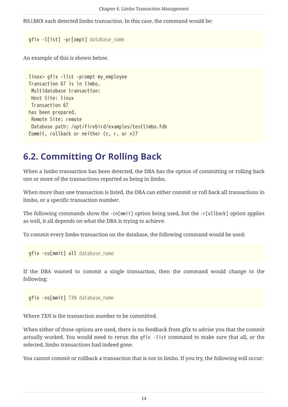ROLLBACK each detected limbo transaction. In this case, the command would be:

```
gfix -l[ist] -pr[ompt] database_name
```
An example of this is shown below.

```
linux> gfix -list -prompt my_employee
Transaction 67 is in limbo.
 Multidatabase transaction:
 Host Site: linux
 Transaction 67
has been prepared.
 Remote Site: remote
 Database path: /opt/firebird/examples/testlimbo.fdb
Commit, rollback or neither (c, r, or n)?
```
### <span id="page-14-0"></span>**6.2. Committing Or Rolling Back**

When a limbo transaction has been detected, the DBA has the option of committing or rolling back one or more of the transactions reported as being in limbo.

When more than one transaction is listed, the DBA can either commit or roll back all transactions in limbo, or a specific transaction number.

The following commands show the -co[mmit] option being used, but the -r[ollback] option applies as well, it all depends on what the DBA is trying to achieve.

To commit every limbo transaction on the database, the following command would be used:

gfix -co[mmit] all *database\_name*

If the DBA wanted to commit a single transaction, then the command would change to the following:

gfix -co[mmit] *TXN database\_name*

Where *TXN* is the transaction number to be committed.

When either of these options are used, there is no feedback from gfix to advise you that the commit actually worked. You would need to rerun the gfix -list command to make sure that all, or the selected, limbo transactions had indeed gone.

You cannot commit or rollback a transaction that is not in limbo. If you try, the following will occur: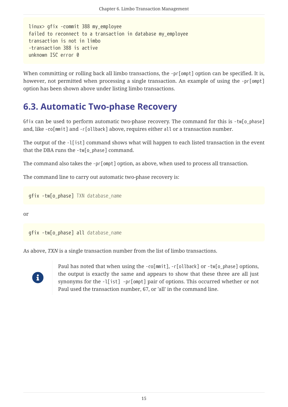```
linux> gfix -commit 388 my_employee
failed to reconnect to a transaction in database my_employee
transaction is not in limbo
-transaction 388 is active
unknown ISC error 0
```
When committing or rolling back all limbo transactions, the -pr[ompt] option can be specified. It is, however, not permitted when processing a single transaction. An example of using the -pr[ompt] option has been shown above under listing limbo transactions.

## <span id="page-15-0"></span>**6.3. Automatic Two-phase Recovery**

Gfix can be used to perform automatic two-phase recovery. The command for this is -tw[o\_phase] and, like -co[mmit] and -r[ollback] above, requires either all or a transaction number.

The output of the -l[ist] command shows what will happen to each listed transaction in the event that the DBA runs the -tw[o\_phase] command.

The command also takes the -pr[ompt] option, as above, when used to process all transaction.

The command line to carry out automatic two-phase recovery is:

gfix -tw[o\_phase] *TXN database\_name*

or

gfix -tw[o\_phase] all *database\_name*

As above, *TXN* is a single transaction number from the list of limbo transactions.



Paul has noted that when using the -co[mmit], -r[ollback] or -tw[o\_phase] options, the output is exactly the same and appears to show that these three are all just synonyms for the -l[ist] -pr[ompt] pair of options. This occurred whether or not Paul used the transaction number, 67, or 'all' in the command line.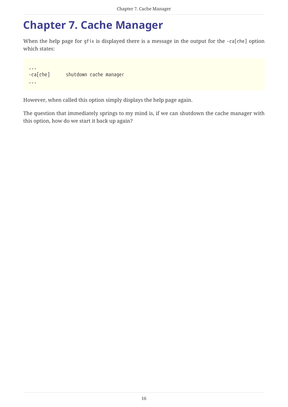## <span id="page-16-0"></span>**Chapter 7. Cache Manager**

When the help page for gfix is displayed there is a message in the output for the -ca[che] option which states:

... -ca[che] shutdown cache manager ...

However, when called this option simply displays the help page again.

The question that immediately springs to my mind is, if we can shutdown the cache manager with this option, how do we start it back up again?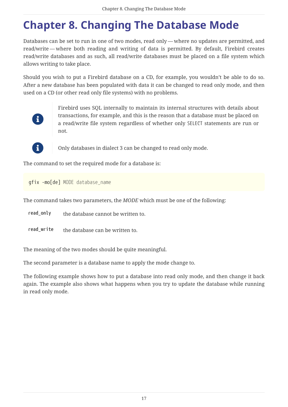# <span id="page-17-0"></span>**Chapter 8. Changing The Database Mode**

Databases can be set to run in one of two modes, read only — where no updates are permitted, and read/write — where both reading and writing of data is permitted. By default, Firebird creates read/write databases and as such, all read/write databases must be placed on a file system which allows writing to take place.

Should you wish to put a Firebird database on a CD, for example, you wouldn't be able to do so. After a new database has been populated with data it can be changed to read only mode, and then used on a CD (or other read only file systems) with no problems.



Firebird uses SQL internally to maintain its internal structures with details about transactions, for example, and this is the reason that a database must be placed on a read/write file system regardless of whether only SELECT statements are run or not.



 $\mathbf{G}$  Only databases in dialect 3 can be changed to read only mode.

The command to set the required mode for a database is:

gfix -mo[de] *MODE database\_name*

The command takes two parameters, the *MODE* which must be one of the following:

**read\_only** the database cannot be written to.

**read\_write** the database can be written to.

The meaning of the two modes should be quite meaningful.

The second parameter is a database name to apply the mode change to.

The following example shows how to put a database into read only mode, and then change it back again. The example also shows what happens when you try to update the database while running in read only mode.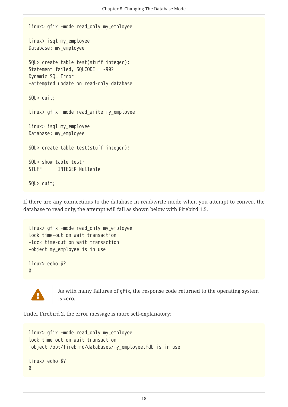```
linux> gfix -mode read_only my_employee
linux> isql my_employee
Database: my_employee
SQL> create table test(stuff integer);
Statement failed, SQLCODE = -902
Dynamic SQL Error
-attempted update on read-only database
SQL> quit;
linux> gfix -mode read_write my_employee
linux> isql my_employee
Database: my_employee
SQL> create table test(stuff integer);
SQL> show table test;
STUFF INTEGER Nullable
SQL> quit;
```
If there are any connections to the database in read/write mode when you attempt to convert the database to read only, the attempt will fail as shown below with Firebird 1.5.

```
linux> gfix -mode read_only my_employee
lock time-out on wait transaction
-lock time-out on wait transaction
-object my_employee is in use
linux> echo $?
\theta
```


 As with many failures of gfix, the response code returned to the operating system is zero.

Under Firebird 2, the error message is more self-explanatory:

```
linux> gfix -mode read_only my_employee
lock time-out on wait transaction
-object /opt/firebird/databases/my_employee.fdb is in use
linux> echo $?
\theta
```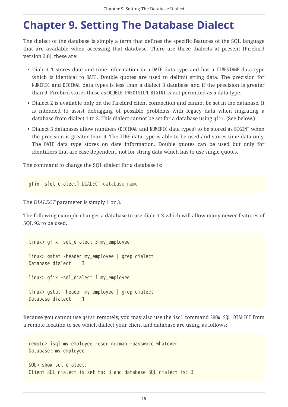## <span id="page-19-0"></span>**Chapter 9. Setting The Database Dialect**

The dialect of the database is simply a term that defines the specific features of the SQL language that are available when accessing that database. There are three dialects at present (Firebird version 2.0), these are:

- Dialect 1 stores date and time information in a DATE data type and has a TIMESTAMP data type which is identical to DATE. Double quotes are used to delimit string data. The precision for NUMERIC and DECIMAL data types is less than a dialect 3 database and if the precision is greater than 9, Firebird stores these as DOUBLE PRECISION. BIGINT is not permitted as a data type.
- Dialect 2 is available only on the Firebird client connection and cannot be set in the database. It is intended to assist debugging of possible problems with legacy data when migrating a database from dialect 1 to 3. This dialect cannot be set for a database using gfix. (See below.)
- Dialect 3 databases allow numbers (DECIMAL and NUMERIC data types) to be stored as BIGINT when the precision is greater than 9. The TIME data type is able to be used and stores time data only. The DATE data type stores on date information. Double quotes can be used but only for identifiers that are case dependent, not for string data which has to use single quotes.

The command to change the SQL dialect for a database is:

gfix -s[ql\_dialect] *DIALECT database\_name*

The *DIALECT* parameter is simply 1 or 3.

The following example changes a database to use dialect 3 which will allow many newer features of SQL 92 to be used.

```
linux> gfix -sql_dialect 3 my_employee
linux> gstat -header my_employee | grep dialect
Database dialect 3
linux> gfix -sql_dialect 1 my_employee
linux> gstat -header my_employee | grep dialect
Database dialect 1
```
Because you cannot use gstat remotely, you may also use the isql command SHOW SQL DIALECT from a remote location to see which dialect your client and database are using, as follows:

```
remote> isql my_employee -user norman -password whatever
Database: my_employee
SQL> show sql dialect;
Client SQL dialect is set to: 3 and database SQL dialect is: 3
```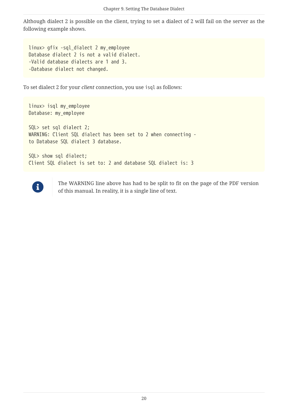Although dialect 2 is possible on the client, trying to set a dialect of 2 will fail on the server as the following example shows.

linux> gfix -sql\_dialect 2 my\_employee Database dialect 2 is not a valid dialect. -Valid database dialects are 1 and 3. -Database dialect not changed.

To set dialect 2 for your *client* connection, you use isql as follows:

```
linux> isql my_employee
Database: my_employee
SQL> set sql dialect 2;
WARNING: Client SQL dialect has been set to 2 when connecting -
to Database SQL dialect 3 database.
SQL> show sql dialect;
Client SQL dialect is set to: 2 and database SQL dialect is: 3
```


The WARNING line above has had to be split to fit on the page of the PDF version of this manual. In reality, it is a single line of text.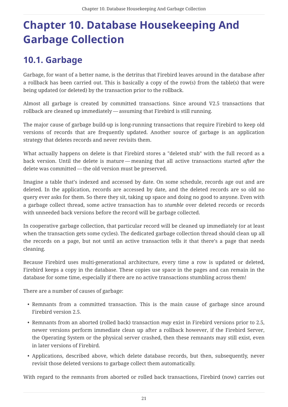# <span id="page-21-0"></span>**Chapter 10. Database Housekeeping And Garbage Collection**

## <span id="page-21-1"></span>**10.1. Garbage**

Garbage, for want of a better name, is the detritus that Firebird leaves around in the database after a rollback has been carried out. This is basically a copy of the row(s) from the table(s) that were being updated (or deleted) by the transaction prior to the rollback.

Almost all garbage is created by committed transactions. Since around V2.5 transactions that rollback are cleaned up immediately — assuming that Firebird is still running.

The major cause of garbage build-up is long-running transactions that require Firebird to keep old versions of records that are frequently updated. Another source of garbage is an application strategy that deletes records and never revisits them.

What actually happens on delete is that Firebird stores a "deleted stub" with the full record as a back version. Until the delete is mature — meaning that all active transactions started *after* the delete was committed — the old version must be preserved.

Imagine a table that's indexed and accessed by date. On some schedule, records age out and are deleted. In the application, records are accessed by date, and the deleted records are so old no query ever asks for them. So there they sit, taking up space and doing no good to anyone. Even with a garbage collect thread, some active transaction has to *stumble* over deleted records or records with unneeded back versions before the record will be garbage collected.

In cooperative garbage collection, that particular record will be cleaned up immediately (or at least when the transaction gets some cycles). The dedicated garbage collection thread should clean up all the records on a page, but not until an active transaction tells it that there's a page that needs cleaning.

Because Firebird uses multi-generational architecture, every time a row is updated or deleted, Firebird keeps a copy in the database. These copies use space in the pages and can remain in the database for some time, especially if there are no active transactions stumbling across them!

There are a number of causes of garbage:

- Remnants from a committed transaction. This is the main cause of garbage since around Firebird version 2.5.
- Remnants from an aborted (rolled back) transaction *may* exist in Firebird versions prior to 2.5, newer versions perform immediate clean up after a rollback however, if the Firebird Server, the Operating System or the physical server crashed, then these remnants may still exist, even in later versions of Firebird.
- Applications, described above, which delete database records, but then, subsequently, never revisit those deleted versions to garbage collect them automatically.

With regard to the remnants from aborted or rolled back transactions, Firebird (now) carries out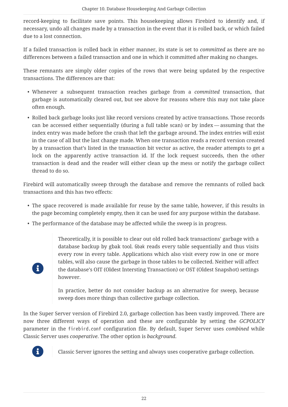record-keeping to facilitate save points. This housekeeping allows Firebird to identify and, if necessary, undo all changes made by a transaction in the event that it is rolled back, or which failed due to a lost connection.

If a failed transaction is rolled back in either manner, its state is set to *committed* as there are no differences between a failed transaction and one in which it committed after making no changes.

These remnants are simply older copies of the rows that were being updated by the respective transactions. The differences are that:

- Whenever a subsequent transaction reaches garbage from a *committed* transaction, that garbage is automatically cleared out, but see above for reasons where this may not take place often enough.
- Rolled back garbage looks just like record versions created by active transactions. Those records can be accessed either sequentially (during a full table scan) or by index — assuming that the index entry was made before the crash that left the garbage around. The index entries will exist in the case of all but the last change made. When one transaction reads a record version created by a transaction that's listed in the transaction bit vector as active, the reader attempts to get a lock on the apparently active transaction id. If the lock request succeeds, then the other transaction is dead and the reader will either clean up the mess or notify the garbage collect thread to do so.

Firebird will automatically sweep through the database and remove the remnants of rolled back transactions and this has two effects:

- The space recovered is made available for reuse by the same table, however, if this results in the page becoming completely empty, then it can be used for any purpose within the database.
- The performance of the database may be affected while the sweep is in progress.

Theoretically, it is possible to clear out old rolled back transactions' garbage with a database backup by gbak tool. Gbak reads every table sequentially and thus visits every row in every table. Applications which also visit every row in one or more tables, will also cause the garbage in those tables to be collected. Neither will affect the database's OIT (Oldest Intersting Transaction) or OST (Oldest Snapshot) settings however.

In practice, better do not consider backup as an alternative for sweep, because sweep does more things than collective garbage collection.

In the Super Server version of Firebird 2.0, garbage collection has been vastly improved. There are now three different ways of operation and these are configurable by setting the *GCPOLICY* parameter in the firebird.conf configuration file. By default, Super Server uses *combined* while Classic Server uses *cooperative*. The other option is *background*.



 $\mathbf i$ 

Classic Server ignores the setting and always uses cooperative garbage collection.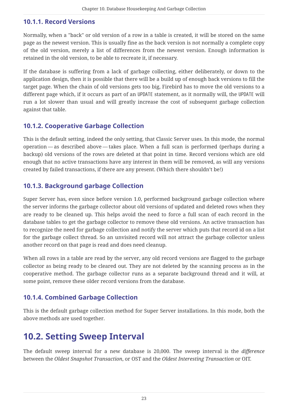#### <span id="page-23-0"></span>**10.1.1. Record Versions**

Normally, when a "back" or old version of a row in a table is created, it will be stored on the same page as the newest version. This is usually fine as the back version is not normally a complete copy of the old version, merely a list of differences from the newest version. Enough information is retained in the old version, to be able to recreate it, if necessary.

If the database is suffering from a lack of garbage collecting, either deliberately, or down to the application design, then it is possible that there will be a build up of enough back versions to fill the target page. When the chain of old versions gets too big, Firebird has to move the old versions to a different page which, if it occurs as part of an UPDATE statement, as it normally will, the UPDATE will run a lot slower than usual and will greatly increase the cost of subsequent garbage collection against that table.

### <span id="page-23-1"></span>**10.1.2. Cooperative Garbage Collection**

This is the default setting, indeed the only setting, that Classic Server uses. In this mode, the normal operation — as described above — takes place. When a full scan is performed (perhaps during a backup) old versions of the rows are deleted at that point in time. Record versions which are old enough that no active transactions have any interest in them will be removed, as will any versions created by failed transactions, if there are any present. (Which there shouldn't be!)

### <span id="page-23-2"></span>**10.1.3. Background garbage Collection**

Super Server has, even since before version 1.0, performed background garbage collection where the server informs the garbage collector about old versions of updated and deleted rows when they are ready to be cleaned up. This helps avoid the need to force a full scan of each record in the database tables to get the garbage collector to remove these old versions. An active transaction has to recognize the need for garbage collection and notify the server which puts that record id on a list for the garbage collect thread. So an unvisited record will not attract the garbage collector unless another record on that page is read and does need cleanup.

When all rows in a table are read by the server, any old record versions are flagged to the garbage collector as being ready to be cleared out. They are not deleted by the scanning process as in the cooperative method. The garbage collector runs as a separate background thread and it will, at some point, remove these older record versions from the database.

### <span id="page-23-3"></span>**10.1.4. Combined Garbage Collection**

This is the default garbage collection method for Super Server installations. In this mode, both the above methods are used together.

## <span id="page-23-4"></span>**10.2. Setting Sweep Interval**

The default sweep interval for a new database is 20,000. The sweep interval is the *difference* between the *Oldest Snapshot Transaction*, or OST and the *Oldest Interesting Transaction* or OIT.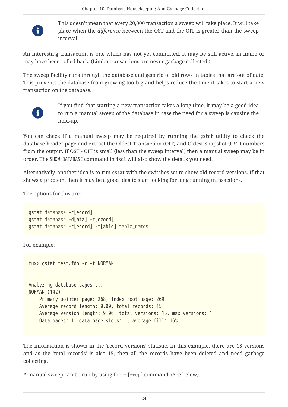

This doesn't mean that every 20,000 transaction a sweep will take place. It will take place when the *difference* between the OST and the OIT is greater than the sweep interval.

An interesting transaction is one which has not yet committed. It may be still active, in limbo or may have been rolled back. (Limbo transactions are never garbage collected.)

The sweep facility runs through the database and gets rid of old rows in tables that are out of date. This prevents the database from growing too big and helps reduce the time it takes to start a new transaction on the database.



If you find that starting a new transaction takes a long time, it may be a good idea to run a manual sweep of the database in case the need for a sweep is causing the hold-up.

You can check if a manual sweep may be required by running the gstat utility to check the database header page and extract the Oldest Transaction (OIT) and Oldest Snapshot (OST) numbers from the output. If OST - OIT is small (less than the sweep interval) then a manual sweep may be in order. The SHOW DATABASE command in isql will also show the details you need.

Alternatively, another idea is to run gstat with the switches set to show old record versions. If that shows a problem, then it may be a good idea to start looking for long running transactions.

The options for this are:

```
gstat database -r[ecord]
gstat database -d[ata] -r[ecord]
gstat database -r[ecord] -t[able] table_names
```
For example:

```
tux> gstat test.fdb -r -t NORMAN
...
Analyzing database pages ...
NORMAN (142)
      Primary pointer page: 268, Index root page: 269
      Average record length: 0.00, total records: 15
      Average version length: 9.00, total versions: 15, max versions: 1
      Data pages: 1, data page slots: 1, average fill: 16%
...
```
The information is shown in the 'record versions' statistic. In this example, there are 15 versions and as the 'total records' is also 15, then all the records have been deleted and need garbage collecting.

A manual sweep can be run by using the -s[weep] command. (See below).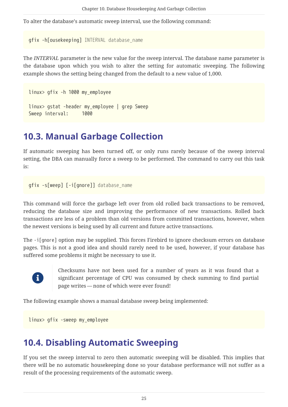To alter the database's automatic sweep interval, use the following command:

```
gfix -h[ousekeeping] INTERVAL database_name
```
The *INTERVAL* parameter is the new value for the sweep interval. The database name parameter is the database upon which you wish to alter the setting for automatic sweeping. The following example shows the setting being changed from the default to a new value of 1,000.

```
linux> gfix -h 1000 my_employee
linux> gstat -header my_employee | grep Sweep
Sweep interval: 1000
```
## <span id="page-25-0"></span>**10.3. Manual Garbage Collection**

If automatic sweeping has been turned off, or only runs rarely because of the sweep interval setting, the DBA can manually force a sweep to be performed. The command to carry out this task is:

```
gfix -s[weep] [-i[gnore]] database_name
```
This command will force the garbage left over from old rolled back transactions to be removed, reducing the database size and improving the performance of new transactions. Rolled back transactions are less of a problem than old versions from committed transactions, however, when the newest versions is being used by all current and future active transactions.

The -i[gnore] option may be supplied. This forces Firebird to ignore checksum errors on database pages. This is not a good idea and should rarely need to be used, however, if your database has suffered some problems it might be necessary to use it.



Checksums have not been used for a number of years as it was found that a significant percentage of CPU was consumed by check summing to find partial page writes — none of which were ever found!

The following example shows a manual database sweep being implemented:

linux> gfix -sweep my\_employee

### <span id="page-25-1"></span>**10.4. Disabling Automatic Sweeping**

If you set the sweep interval to zero then automatic sweeping will be disabled. This implies that there will be no automatic housekeeping done so your database performance will not suffer as a result of the processing requirements of the automatic sweep.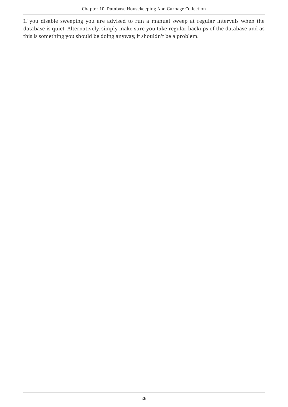If you disable sweeping you are advised to run a manual sweep at regular intervals when the database is quiet. Alternatively, simply make sure you take regular backups of the database and as this is something you should be doing anyway, it shouldn't be a problem.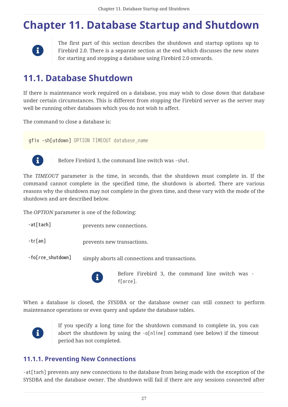# <span id="page-27-0"></span>**Chapter 11. Database Startup and Shutdown**



The first part of this section describes the shutdown and startup options up to Firebird 2.0. There is a separate section at the end which discusses the new *states* for starting and stopping a database using Firebird 2.0 onwards.

## <span id="page-27-1"></span>**11.1. Database Shutdown**

If there is maintenance work required on a database, you may wish to close down that database under certain circumstances. This is different from stopping the Firebird server as the server may well be running other databases which you do not wish to affect.

The command to close a database is:

gfix -sh[utdown] *OPTION TIMEOUT database\_name*



Before Firebird 3, the command line switch was -shut.

The *TIMEOUT* parameter is the time, in seconds, that the shutdown must complete in. If the command cannot complete in the specified time, the shutdown is aborted. There are various reasons why the shutdown may not complete in the given time, and these vary with the mode of the shutdown and are described below.

The *OPTION* parameter is one of the following:

- **-at[tach]** prevents new connections.
- **-tr[an]** prevents new transactions.

**-fo[rce\_shutdown]** simply aborts all connections and transactions.



Before Firebird 3, the command line switch was f[orce].

When a database is closed, the SYSDBA or the database owner can still connect to perform maintenance operations or even query and update the database tables.



If you specify a long time for the shutdown command to complete in, you can abort the shutdown by using the -o[nline] command (see below) if the timeout period has not completed.

### <span id="page-27-2"></span>**11.1.1. Preventing New Connections**

-at[tach] prevents any new connections to the database from being made with the exception of the SYSDBA and the database owner. The shutdown will fail if there are any sessions connected after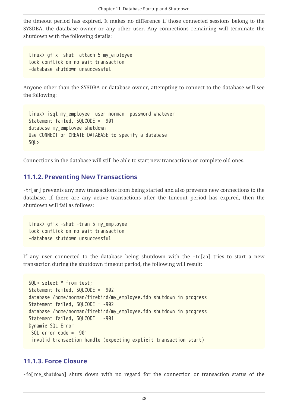the timeout period has expired. It makes no difference if those connected sessions belong to the SYSDBA, the database owner or any other user. Any connections remaining will terminate the shutdown with the following details:

linux> gfix -shut -attach 5 my\_employee lock conflick on no wait transaction -database shutdown unsuccessful

Anyone other than the SYSDBA or database owner, attempting to connect to the database will see the following:

```
linux> isql my_employee -user norman -password whatever
Statement failed, SQLCODE = -901
database my_employee shutdown
Use CONNECT or CREATE DATABASE to specify a database
SQL>
```
Connections in the database will still be able to start new transactions or complete old ones.

#### <span id="page-28-0"></span>**11.1.2. Preventing New Transactions**

-tr[an] prevents any new transactions from being started and also prevents new connections to the database. If there are any active transactions after the timeout period has expired, then the shutdown will fail as follows:

linux> gfix -shut -tran 5 my\_employee lock conflick on no wait transaction -database shutdown unsuccessful

If any user connected to the database being shutdown with the -tr[an] tries to start a new transaction during the shutdown timeout period, the following will result:

```
SQL> select * from test;
Statement failed, SQLCODE = -902
database /home/norman/firebird/my_employee.fdb shutdown in progress
Statement failed, SQLCODE = -902
database /home/norman/firebird/my_employee.fdb shutdown in progress
Statement failed, SQLCODE = -901
Dynamic SQL Error
-SOL error code = -901-invalid transaction handle (expecting explicit transaction start)
```
#### <span id="page-28-1"></span>**11.1.3. Force Closure**

-fo[rce\_shutdown] shuts down with no regard for the connection or transaction status of the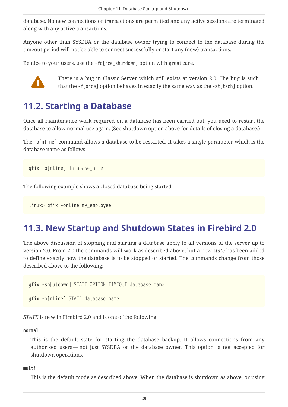database. No new connections or transactions are permitted and any active sessions are terminated along with any active transactions.

Anyone other than SYSDBA or the database owner trying to connect to the database during the timeout period will not be able to connect successfully or start any (new) transactions.

Be nice to your users, use the -fo[rce\_shutdown] option with great care.



There is a bug in Classic Server which still exists at version 2.0. The bug is such<br>that the flavor lantim habens in an other happens were at he all lating that the -f[orce] option behaves in exactly the same way as the -at[tach] option.

## <span id="page-29-0"></span>**11.2. Starting a Database**

Once all maintenance work required on a database has been carried out, you need to restart the database to allow normal use again. (See shutdown option above for details of closing a database.)

The -o[nline] command allows a database to be restarted. It takes a single parameter which is the database name as follows:

gfix -o[nline] *database\_name*

The following example shows a closed database being started.

linux> gfix -online my\_employee

### <span id="page-29-1"></span>**11.3. New Startup and Shutdown States in Firebird 2.0**

The above discussion of stopping and starting a database apply to all versions of the server up to version 2.0. From 2.0 the commands will work as described above, but a new *state* has been added to define exactly how the database is to be stopped or started. The commands change from those described above to the following:

gfix -sh[utdown] *STATE OPTION TIMEOUT database\_name*

gfix -o[nline] *STATE database\_name*

*STATE* is new in Firebird 2.0 and is one of the following:

#### **normal**

This is the default state for starting the database backup. It allows connections from any authorised users — not just SYSDBA or the database owner. This option is not accepted for shutdown operations.

#### **multi**

This is the default mode as described above. When the database is shutdown as above, or using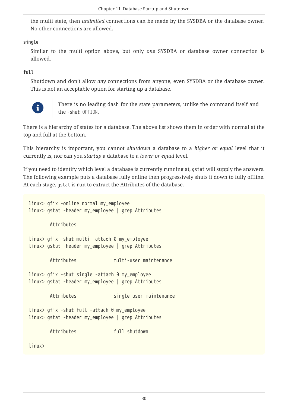the multi state, then *unlimited* connections can be made by the SYSDBA or the database owner. No other connections are allowed.

#### **single**

Similar to the multi option above, but only *one* SYSDBA or database owner connection is allowed.

#### **full**

Shutdown and don't allow *any* connections from anyone, even SYSDBA or the database owner. This is not an acceptable option for starting up a database.



There is no leading dash for the state parameters, unlike the command itself and the -shut *OPTION*.

There is a hierarchy of states for a database. The above list shows them in order with normal at the top and full at the bottom.

This hierarchy is important, you cannot *shutdown* a database to a *higher or equal* level that it currently is, nor can you *startup* a database to a *lower or equal* level.

If you need to identify which level a database is currently running at, gstat will supply the answers. The following example puts a database fully online then progressively shuts it down to fully offline. At each stage, gstat is run to extract the Attributes of the database.

linux> gfix -online normal my\_employee linux> gstat -header my\_employee | grep Attributes Attributes linux> gfix -shut multi -attach 0 my\_employee linux> gstat -header my\_employee | grep Attributes Attributes multi-user maintenance linux> gfix -shut single -attach 0 my\_employee linux> gstat -header my\_employee | grep Attributes Attributes single-user maintenance linux> gfix -shut full -attach 0 my\_employee linux> gstat -header my\_employee | grep Attributes Attributes full shutdown linux>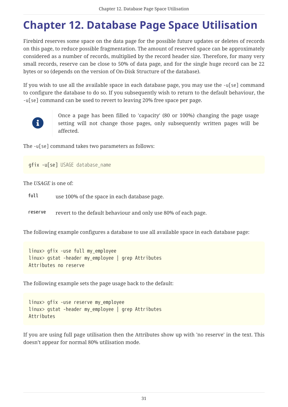# <span id="page-31-0"></span>**Chapter 12. Database Page Space Utilisation**

Firebird reserves some space on the data page for the possible future updates or deletes of records on this page, to reduce possible fragmentation. The amount of reserved space can be approximately considered as a number of records, multiplied by the record header size. Therefore, for many very small records, reserve can be close to 50% of data page, and for the single huge record can be 22 bytes or so (depends on the version of On-Disk Structure of the database).

If you wish to use all the available space in each database page, you may use the -u[se] command to configure the database to do so. If you subsequently wish to return to the default behaviour, the -u[se] command can be used to revert to leaving 20% free space per page.



Once a page has been filled to 'capacity' (80 or 100%) changing the page usage setting will not change those pages, only subsequently written pages will be affected.

The -u[se] command takes two parameters as follows:

```
gfix -u[se] USAGE database_name
```
The *USAGE* is one of:

**full** use 100% of the space in each database page.

**reserve** revert to the default behaviour and only use 80% of each page.

The following example configures a database to use all available space in each database page:

linux> gfix -use full my\_employee linux> gstat -header my\_employee | grep Attributes Attributes no reserve

The following example sets the page usage back to the default:

linux> gfix -use reserve my\_employee linux> gstat -header my\_employee | grep Attributes Attributes

If you are using full page utilisation then the Attributes show up with 'no reserve' in the text. This doesn't appear for normal 80% utilisation mode.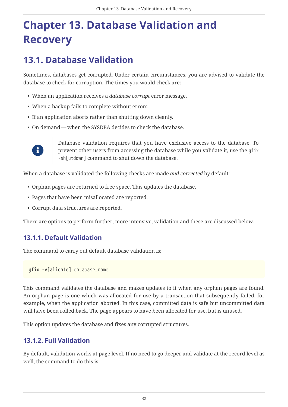# <span id="page-32-0"></span>**Chapter 13. Database Validation and Recovery**

## <span id="page-32-1"></span>**13.1. Database Validation**

Sometimes, databases get corrupted. Under certain circumstances, you are advised to validate the database to check for corruption. The times you would check are:

- When an application receives a *database corrupt* error message.
- When a backup fails to complete without errors.
- If an application aborts rather than shutting down cleanly.
- On demand when the SYSDBA decides to check the database.



Database validation requires that you have exclusive access to the database. To prevent other users from accessing the database while you validate it, use the gfix -sh[utdown] command to shut down the database.

When a database is validated the following checks are made *and corrected* by default:

- Orphan pages are returned to free space. This updates the database.
- Pages that have been misallocated are reported.
- Corrupt data structures are reported.

There are options to perform further, more intensive, validation and these are discussed below.

### <span id="page-32-2"></span>**13.1.1. Default Validation**

The command to carry out default database validation is:

gfix -v[alidate] *database\_name*

This command validates the database and makes updates to it when any orphan pages are found. An orphan page is one which was allocated for use by a transaction that subsequently failed, for example, when the application aborted. In this case, committed data is safe but uncommitted data will have been rolled back. The page appears to have been allocated for use, but is unused.

This option updates the database and fixes any corrupted structures.

### <span id="page-32-3"></span>**13.1.2. Full Validation**

By default, validation works at page level. If no need to go deeper and validate at the record level as well, the command to do this is: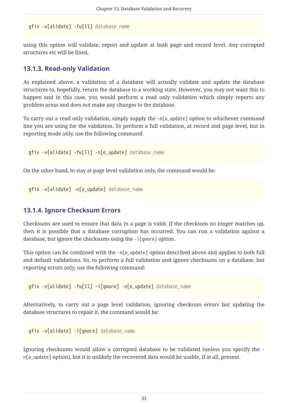gfix -v[alidate] -fu[ll] *database\_name*

using this option will validate, report and update at both page and record level. Any corrupted structures etc will be fixed.

#### <span id="page-33-0"></span>**13.1.3. Read-only Validation**

As explained above, a validation of a database will actually validate and update the database structures to, hopefully, return the database to a working state. However, you may not want this to happen and in this case, you would perform a read only validation which simply reports any problem areas and does not make any changes to the database.

To carry out a read only validation, simply supply the -n[o\_update] option to whichever command line you are using for the validation. To perform a full validation, at record and page level, but in reporting mode only, use the following command:

gfix -v[alidate] -fu[ll] -n[o\_update] *database\_name*

On the other hand, to stay at page level validation only, the command would be:

gfix -v[alidate] -n[o\_update] *database\_name*

#### <span id="page-33-1"></span>**13.1.4. Ignore Checksum Errors**

Checksums are used to ensure that data in a page is valid. If the checksum no longer matches up, then it is possible that a database corruption has occurred. You can run a validation against a database, but ignore the checksums using the -i[gnore] option.

This option can be combined with the -n[o\_update] option described above and applies to both full and default validations. So, to perform a full validation and ignore checksums on a database, but reporting errors only, use the following command:

gfix -v[alidate] -fu[ll] -i[gnore] -n[o\_update] *database\_name*

Alternatively, to carry out a page level validation, ignoring checksum errors but updating the database structures to repair it, the command would be:

gfix -v[alidate] -i[gnore] *database\_name*

Ignoring checksums would allow a corrupted database to be validated (unless you specify the n[o\_update] option), but it is unlikely the recovered data would be usable, if at all, present.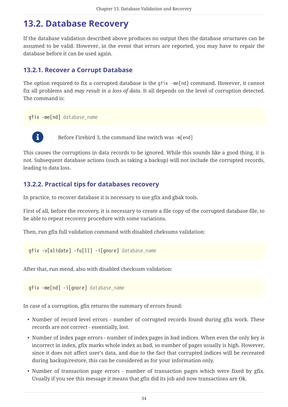## <span id="page-34-0"></span>**13.2. Database Recovery**

If the database validation described above produces no output then the database *structures* can be assumed to be valid. However, in the event that errors are reported, you may have to repair the database before it can be used again.

### <span id="page-34-1"></span>**13.2.1. Recover a Corrupt Database**

The option required to fix a corrupted database is the gfix -me[nd] command. However, it cannot fix all problems and *may result in a loss of data*. It all depends on the level of corruption detected. The command is:

gfix -me[nd] *database\_name*



 $\mathbf{B}$  Before Firebird 3, the command line switch was -m[end]

This causes the corruptions in data records to be ignored. While this sounds like a good thing, it is not. Subsequent database actions (such as taking a backup) will not include the corrupted records, leading to data loss.

### <span id="page-34-2"></span>**13.2.2. Practical tips for databases recovery**

In practice, to recover database it is necessary to use gfix and gbak tools.

First of all, before the recovery, it is necessary to create a file copy of the corrupted database file, to be able to repeat recovery procedure with some variations.

Then, run gfix full validation command with disabled cheksums validation:

gfix -v[alidate] -fu[ll] -i[gnore] *database\_name*

After that, run mend, also with disabled checksum validation:

gfix -me[nd] -i[gnore] *database\_name*

In case of a corruption, gfix returns the summary of errors found:

- Number of record level errors number of corrupted records found during gfix work. These records are not correct - essentially, lost.
- Number of index page errors number of index pages in bad indices. When even the only key is incorrect in index, gfix marks whole index as bad, so number of pages usually is high. However, since it does not affect user's data, and due to the fact that corrupted indices will be recreated during backup/restore, this can be considered as for your information only.
- Number of transaction page errors number of transaction pages which were fixed by gfix. Usually if you see this message it means that gfix did its job and now transactions are Ok.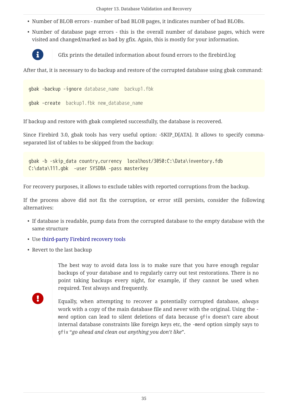- Number of BLOB errors number of bad BLOB pages, it indicates number of bad BLOBs.
- Number of database page errors this is the overall number of database pages, which were visited and changed/marked as bad by gfix. Again, this is mostly for your information.



Gfix prints the detailed information about found errors to the firebird.log

After that, it is necessary to do backup and restore of the corrupted database using gbak command:

```
gbak -backup -ignore database_name backup1.fbk
gbak -create backup1.fbk new_database_name
```
If backup and restore with gbak completed successfully, the database is recovered.

Since Firebird 3.0, gbak tools has very useful option: -SKIP\_D[ATA]. It allows to specify commaseparated list of tables to be skipped from the backup:

```
gbak -b -skip_data country,currency localhost/3050:C:\Data\inventory.fdb
C:\data\111.gbk -user SYSDBA -pass masterkey
```
For recovery purposes, it allows to exclude tables with reported corruptions from the backup.

If the process above did not fix the corruption, or error still persists, consider the following alternatives:

- If database is readable, pump data from the corrupted database to the empty database with the same structure
- Use [third-party Firebird recovery tools](https://firebirdsql.org/en/third-party-tools/#rec)
- Revert to the last backup

The best way to avoid data loss is to make sure that you have enough regular backups of your database and to regularly carry out test restorations. There is no point taking backups every night, for example, if they cannot be used when required. Test always and frequently.

 $\mathbf \Theta$ 

Equally, when attempting to recover a potentially corrupted database, *always* work with a copy of the main database file and never with the original. Using the mend option can lead to silent deletions of data because gfix doesn't care about internal database constraints like foreign keys etc, the -mend option simply says to gfix "*go ahead and clean out anything you don't like*".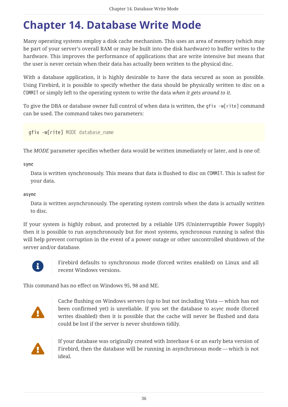# <span id="page-36-0"></span>**Chapter 14. Database Write Mode**

Many operating systems employ a disk cache mechanism. This uses an area of memory (which may be part of your server's overall RAM or may be built into the disk hardware) to buffer writes to the hardware. This improves the performance of applications that are write intensive but means that the user is never certain when their data has actually been written to the physical disc.

With a database application, it is highly desirable to have the data secured as soon as possible. Using Firebird, it is possible to specify whether the data should be physically written to disc on a COMMIT or simply left to the operating system to write the data *when it gets around to it*.

To give the DBA or database owner full control of when data is written, the gfix -w[rite] command can be used. The command takes two parameters:

gfix -w[rite] *MODE database\_name*

The *MODE* parameter specifies whether data would be written immediately or later, and is one of:

**sync**

Data is written synchronously. This means that data is flushed to disc on COMMIT. This is safest for your data.

**async**

Data is written asynchronously. The operating system controls when the data is actually written to disc.

If your system is highly robust, and protected by a reliable UPS (Uninterruptible Power Supply) then it is possible to run asynchronously but for most systems, synchronous running is safest this will help prevent corruption in the event of a power outage or other uncontrolled shutdown of the server and/or database.



Firebird defaults to synchronous mode (forced writes enabled) on Linux and all recent Windows versions.

This command has no effect on Windows 95, 98 and ME.



Cache flushing on Windows servers (up to but not including Vista — which has not been confirmed yet) is unreliable. If you set the database to async mode (forced writes disabled) then it is possible that the cache will never be flushed and data could be lost if the server is never shutdown tidily.



If your database was originally created with Interbase 6 or an early beta version of Firebird, then the database will be running in asynchronous mode — which is not ideal.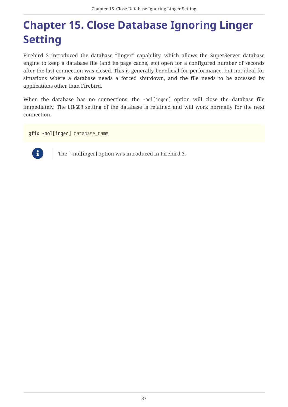# <span id="page-37-0"></span>**Chapter 15. Close Database Ignoring Linger Setting**

Firebird 3 introduced the database "linger" capability, which allows the SuperServer database engine to keep a database file (and its page cache, etc) open for a configured number of seconds after the last connection was closed. This is generally beneficial for performance, but not ideal for situations where a database needs a forced shutdown, and the file needs to be accessed by applications other than Firebird.

When the database has no connections, the -nol[inger] option will close the database file immediately. The LINGER setting of the database is retained and will work normally for the next connection.

gfix -nol[inger] *database\_name*



The `-nol[inger] option was introduced in Firebird 3.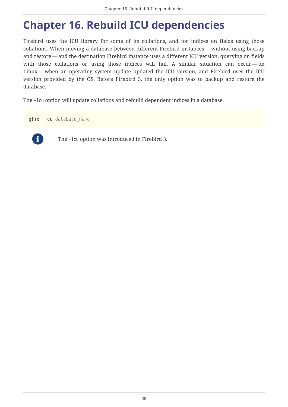# <span id="page-38-0"></span>**Chapter 16. Rebuild ICU dependencies**

Firebird uses the ICU library for some of its collations, and for indices on fields using those collations. When moving a database between different Firebird instances — without using backup and restore — and the destination Firebird instance uses a different ICU version, querying on fields with those collations or using those indices will fail. A similar situation can occur — on Linux — when an operating system update updated the ICU version, and Firebird uses the ICU version provided by the OS. Before Firebird 3, the only option was to backup and restore the database.

The -icu option will update collations and rebuild dependent indices in a database.

gfix -icu *database\_name*



The -icu option was introduced in Firebird 3.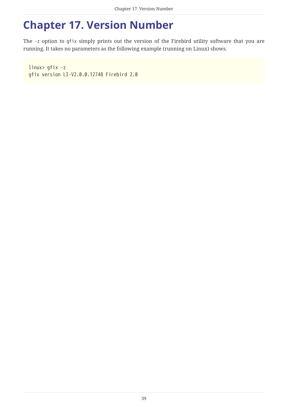## <span id="page-39-0"></span>**Chapter 17. Version Number**

The -z option to gfix simply prints out the version of the Firebird utility software that you are running. It takes no parameters as the following example (running on Linux) shows.

linux> gfix -z gfix version LI-V2.0.0.12748 Firebird 2.0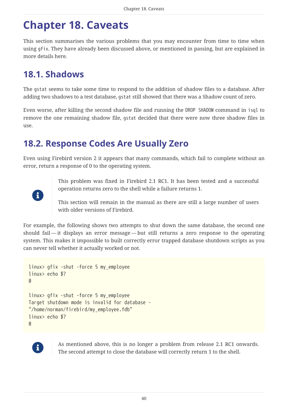## <span id="page-40-0"></span>**Chapter 18. Caveats**

This section summarises the various problems that you may encounter from time to time when using gfix. They have already been discussed above, or mentioned in passing, but are explained in more details here.

## <span id="page-40-1"></span>**18.1. Shadows**

The gstat seems to take some time to respond to the addition of shadow files to a database. After adding two shadows to a test database, gstat still showed that there was a Shadow count of zero.

Even worse, after killing the second shadow file and running the DROP SHADOW command in isql to remove the one remaining shadow file, gstat decided that there were now three shadow files in use.

### <span id="page-40-2"></span>**18.2. Response Codes Are Usually Zero**

Even using Firebird version 2 it appears that many commands, which fail to complete without an error, return a response of 0 to the operating system.



This problem was fixed in Firebird 2.1 RC1. It has been tested and a successful operation returns zero to the shell while a failure returns 1.

This section will remain in the manual as there are still a large number of users with older versions of Firebird.

For example, the following shows two attempts to shut down the same database, the second one should fail — it displays an error message — but still returns a zero response to the operating system. This makes it impossible to built correctly error trapped database shutdown scripts as you can never tell whether it actually worked or not.

```
linux> gfix -shut -force 5 my_employee
linux> echo $?
\thetalinux> gfix -shut -force 5 my_employee
Target shutdown mode is invalid for database -
"/home/norman/firebird/my_employee.fdb"
linux> echo $?
\theta
```


As mentioned above, this is no longer a problem from release 2.1 RC1 onwards. The second attempt to close the database will correctly return 1 to the shell.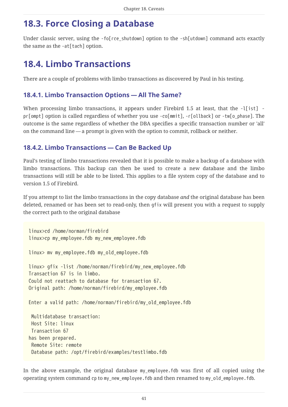## <span id="page-41-0"></span>**18.3. Force Closing a Database**

Under classic server, using the -fo[rce\_shutdown] option to the -sh[utdown] command acts exactly the same as the -at[tach] option.

## <span id="page-41-1"></span>**18.4. Limbo Transactions**

There are a couple of problems with limbo transactions as discovered by Paul in his testing.

#### <span id="page-41-2"></span>**18.4.1. Limbo Transaction Options — All The Same?**

When processing limbo transactions, it appears under Firebird 1.5 at least, that the -1[ist] pr[ompt] option is called regardless of whether you use -co[mmit], -r[ollback] or -tw[o\_phase]. The outcome is the same regardless of whether the DBA specifies a specific transaction number or 'all' on the command line — a prompt is given with the option to commit, rollback or neither.

#### <span id="page-41-3"></span>**18.4.2. Limbo Transactions — Can Be Backed Up**

Paul's testing of limbo transactions revealed that it is possible to make a backup of a database with limbo transactions. This backup can then be used to create a new database and the limbo transactions will still be able to be listed. This applies to a file system copy of the database and to version 1.5 of Firebird.

If you attempt to list the limbo transactions in the copy database *and* the original database has been deleted, renamed or has been set to read-only, then gfix will present you with a request to supply the correct path to the original database

```
linux>cd /home/norman/firebird
linux>cp my_employee.fdb my_new_employee.fdb
linux> mv my_employee.fdb my_old_employee.fdb
linux> gfix -list /home/norman/firebird/my_new_employee.fdb
Transaction 67 is in limbo.
Could not reattach to database for transaction 67.
Original path: /home/norman/firebird/my_employee.fdb
Enter a valid path: /home/norman/firebird/my_old_employee.fdb
 Multidatabase transaction:
 Host Site: linux
 Transaction 67
has been prepared.
 Remote Site: remote
 Database path: /opt/firebird/examples/testlimbo.fdb
```
In the above example, the original database my employee.fdb was first of all copied using the operating system command cp to my new employee.fdb and then renamed to my old employee.fdb.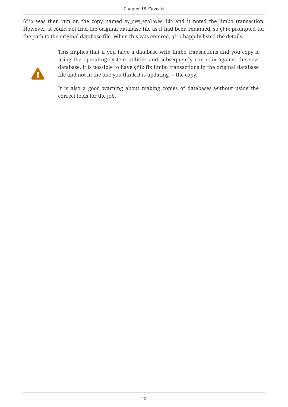Gfix was then run on the copy named my\_new\_employee.fdb and it noted the limbo transaction. However, it could not find the original database file as it had been renamed, so gfix prompted for the path to the original database file. When this was entered, gfix happily listed the details.



This implies that if you have a database with limbo transactions and you copy it using the operating system utilities and subsequently run gfix against the new database, it is possible to have gfix fix limbo transactions in the original database file and not in the one you think it is updating — the copy.

It is also a good warning about making copies of databases without using the correct tools for the job.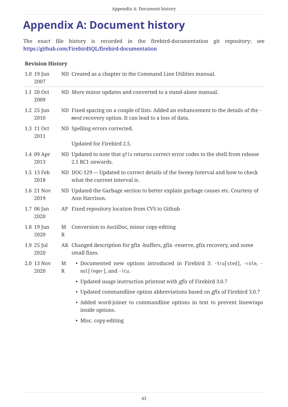# <span id="page-43-0"></span>**Appendix A: Document history**

The exact file history is recorded in the firebird-documentation git repository; see <https://github.com/FirebirdSQL/firebird-documentation>

#### **Revision History**

| 1.0 19 Jun<br>2007 |                   | ND Created as a chapter in the Command Line Utilities manual.                                                                               |
|--------------------|-------------------|---------------------------------------------------------------------------------------------------------------------------------------------|
| 1.1 20 Oct<br>2009 |                   | ND More minor updates and converted to a stand-alone manual.                                                                                |
| 1.2 25 Jun<br>2010 |                   | ND Fixed spacing on a couple of lists. Added an enhancement to the details of the -<br>mend recovery option. It can lead to a loss of data. |
| 1.3 11 Oct<br>2011 |                   | ND Spelling errors corrected.                                                                                                               |
|                    |                   | Updated for Firebird 2.5.                                                                                                                   |
| 1.4 09 Apr<br>2013 |                   | ND Updated to note that gfix returns correct error codes to the shell from release<br>2.1 RC1 onwards.                                      |
| 1.5 13 Feb<br>2018 |                   | ND DOC-129 — Updated to correct details of the Sweep Interval and how to check<br>what the current interval is.                             |
| 1.6 21 Nov<br>2019 |                   | ND Updated the Garbage section to better explain garbage causes etc. Courtesy of<br>Ann Harrison.                                           |
| 1.7 06 Jan<br>2020 |                   | AP Fixed repository location from CVS to Github                                                                                             |
| 1.8 19 Jun<br>2020 | M<br>$\mathbb{R}$ | Conversion to AsciiDoc, minor copy-editing                                                                                                  |
| 1.9 25 Jul<br>2020 |                   | AK Changed description for gfix -buffers, gfix -reserve, gfix recovery, and some<br>small fixes.                                            |
| 2.0 13 Nov<br>2020 | M<br>$\mathbb{R}$ | · Documented new options introduced in Firebird 3: -tru[sted], -role, -<br>nol[inger], and -icu.                                            |
|                    |                   | • Updated usage instruction printout with <i>gfix</i> of Firebird 3.0.7                                                                     |
|                    |                   | • Updated commandline option abbreviations based on <i>gfix</i> of Firebird 3.0.7                                                           |
|                    |                   | • Added word-joiner to commandline options in text to prevent linewraps<br>inside options.                                                  |
|                    |                   | • Misc. copy-editing                                                                                                                        |